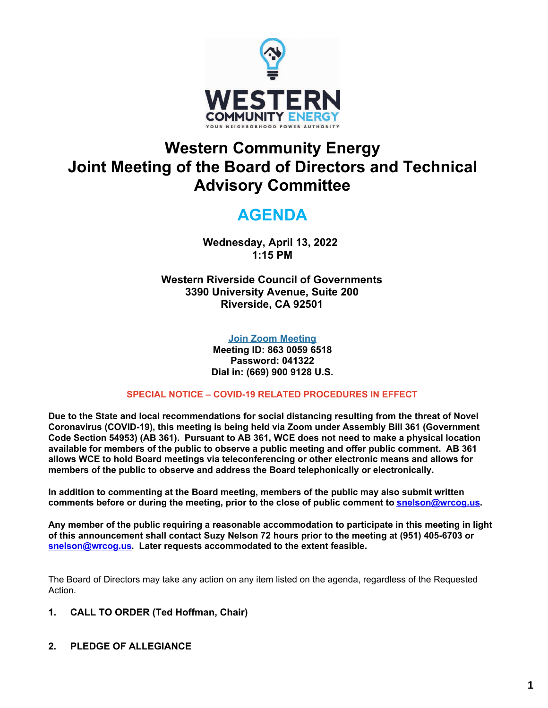

## **Western Community Energy Joint Meeting of the Board of Directors and Technical Advisory Committee**

## **AGENDA**

**Wednesday, April 13, 2022 1:15 PM**

**Western Riverside Council of Governments 3390 University Avenue, Suite 200 Riverside, CA 92501**

### **Join Zoom [Meeting](https://us02web.zoom.us/j/86300596518?pwd=VW1DRHJmSlpxL0V2SkFOTkM0NHVpQT09)**

**Meeting ID: 863 0059 6518 Password: 041322 Dial in: (669) 900 9128 U.S.**

### **SPECIAL NOTICE – COVID-19 RELATED PROCEDURES IN EFFECT**

**Due to the State and local recommendations for social distancing resulting from the threat of Novel Coronavirus (COVID-19), this meeting is being held via Zoom under Assembly Bill 361 (Government Code Section 54953) (AB 361). Pursuant to AB 361, WCE does not need to make a physical location available for members of the public to observe a public meeting and offer public comment. AB 361 allows WCE to hold Board meetings via teleconferencing or other electronic means and allows for members of the public to observe and address the Board telephonically or electronically.**

**In addition to commenting at the Board meeting, members of the public may also submit written comments before or during the meeting, prior to the close of public comment to [snelson@wrcog.us](mailto:snelson@wrcog.us?subject=WCE%20Public%20Comment).**

**Any member of the public requiring a reasonable accommodation to participate in this meeting in light of this announcement shall contact Suzy Nelson 72 hours prior to the meeting at (951) 405-6703 or [snelson@wrcog.us](mailto:snelson@wrcog.us?subject=WCE%20Accommodation). Later requests accommodated to the extent feasible.**

The Board of Directors may take any action on any item listed on the agenda, regardless of the Requested Action.

- **1. CALL TO ORDER (Ted Hoffman, Chair)**
- **2. PLEDGE OF ALLEGIANCE**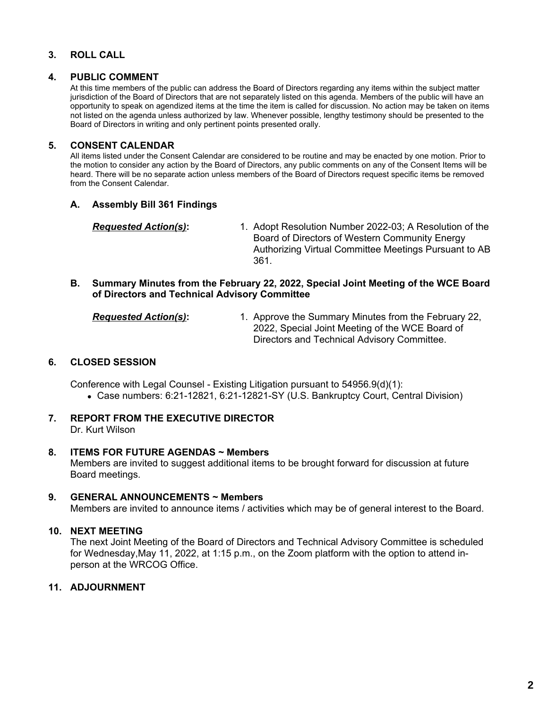### **3. ROLL CALL**

#### **4. PUBLIC COMMENT**

At this time members of the public can address the Board of Directors regarding any items within the subject matter jurisdiction of the Board of Directors that are not separately listed on this agenda. Members of the public will have an opportunity to speak on agendized items at the time the item is called for discussion. No action may be taken on items not listed on the agenda unless authorized by law. Whenever possible, lengthy testimony should be presented to the Board of Directors in writing and only pertinent points presented orally.

### **5. CONSENT CALENDAR**

All items listed under the Consent Calendar are considered to be routine and may be enacted by one motion. Prior to the motion to consider any action by the Board of Directors, any public comments on any of the Consent Items will be heard. There will be no separate action unless members of the Board of Directors request specific items be removed from the Consent Calendar.

### **A. Assembly Bill 361 Findings**

*Requested Action(s)***:** 1. Adopt Resolution Number 2022-03; A Resolution of the Board of Directors of Western Community Energy Authorizing Virtual Committee Meetings Pursuant to AB 361.

### **B. Summary Minutes from the February 22, 2022, Special Joint Meeting of the WCE Board of Directors and Technical Advisory Committee**

*Requested Action(s)***:** 1. Approve the Summary Minutes from the February 22, 2022, Special Joint Meeting of the WCE Board of Directors and Technical Advisory Committee.

### **6. CLOSED SESSION**

Conference with Legal Counsel - Existing Litigation pursuant to 54956.9(d)(1): Case numbers: 6:21-12821, 6:21-12821-SY (U.S. Bankruptcy Court, Central Division)

**7. REPORT FROM THE EXECUTIVE DIRECTOR** Dr. Kurt Wilson

#### **8. ITEMS FOR FUTURE AGENDAS ~ Members** Members are invited to suggest additional items to be brought forward for discussion at future Board meetings.

#### **9. GENERAL ANNOUNCEMENTS ~ Members**

Members are invited to announce items / activities which may be of general interest to the Board.

### **10. NEXT MEETING**

The next Joint Meeting of the Board of Directors and Technical Advisory Committee is scheduled for Wednesday,May 11, 2022, at 1:15 p.m., on the Zoom platform with the option to attend inperson at the WRCOG Office.

### **11. ADJOURNMENT**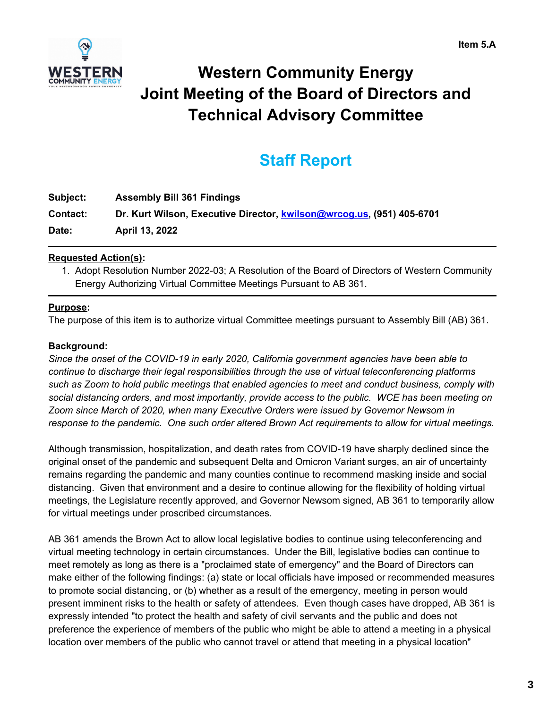

# **Western Community Energy Joint Meeting of the Board of Directors and Technical Advisory Committee**

## **Staff Report**

| Subject:        | <b>Assembly Bill 361 Findings</b>                                     |
|-----------------|-----------------------------------------------------------------------|
| <b>Contact:</b> | Dr. Kurt Wilson, Executive Director, kwilson@wrcog.us. (951) 405-6701 |
| Date:           | April 13, 2022                                                        |

### **Requested Action(s):**

1. Adopt Resolution Number 2022-03; A Resolution of the Board of Directors of Western Community Energy Authorizing Virtual Committee Meetings Pursuant to AB 361.

## **Purpose:**

The purpose of this item is to authorize virtual Committee meetings pursuant to Assembly Bill (AB) 361.

## **Background:**

*Since the onset of the COVID-19 in early 2020, California government agencies have been able to continue to discharge their legal responsibilities through the use of virtual teleconferencing platforms such as Zoom to hold public meetings that enabled agencies to meet and conduct business, comply with social distancing orders, and most importantly, provide access to the public. WCE has been meeting on Zoom since March of 2020, when many Executive Orders were issued by Governor Newsom in response to the pandemic. One such order altered Brown Act requirements to allow for virtual meetings.*

Although transmission, hospitalization, and death rates from COVID-19 have sharply declined since the original onset of the pandemic and subsequent Delta and Omicron Variant surges, an air of uncertainty remains regarding the pandemic and many counties continue to recommend masking inside and social distancing. Given that environment and a desire to continue allowing for the flexibility of holding virtual meetings, the Legislature recently approved, and Governor Newsom signed, AB 361 to temporarily allow for virtual meetings under proscribed circumstances.

AB 361 amends the Brown Act to allow local legislative bodies to continue using teleconferencing and virtual meeting technology in certain circumstances. Under the Bill, legislative bodies can continue to meet remotely as long as there is a "proclaimed state of emergency" and the Board of Directors can make either of the following findings: (a) state or local officials have imposed or recommended measures to promote social distancing, or (b) whether as a result of the emergency, meeting in person would present imminent risks to the health or safety of attendees. Even though cases have dropped, AB 361 is expressly intended "to protect the health and safety of civil servants and the public and does not preference the experience of members of the public who might be able to attend a meeting in a physical location over members of the public who cannot travel or attend that meeting in a physical location"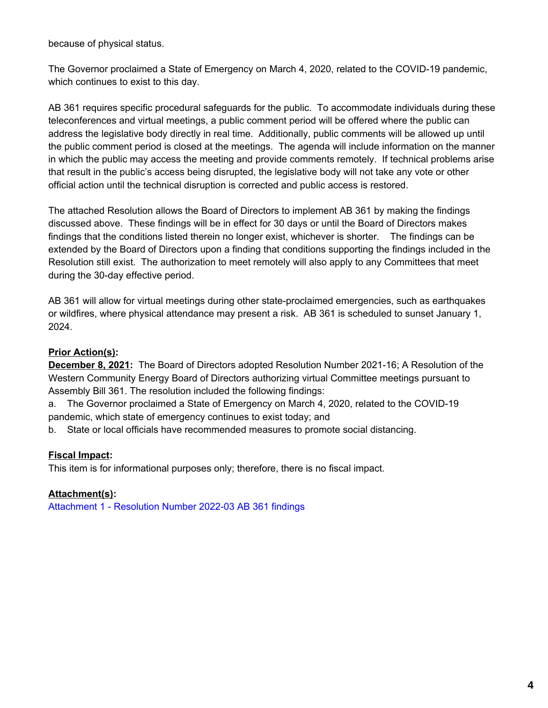because of physical status.

The Governor proclaimed a State of Emergency on March 4, 2020, related to the COVID-19 pandemic, which continues to exist to this day.

AB 361 requires specific procedural safeguards for the public. To accommodate individuals during these teleconferences and virtual meetings, a public comment period will be offered where the public can address the legislative body directly in real time. Additionally, public comments will be allowed up until the public comment period is closed at the meetings. The agenda will include information on the manner in which the public may access the meeting and provide comments remotely. If technical problems arise that result in the public's access being disrupted, the legislative body will not take any vote or other official action until the technical disruption is corrected and public access is restored.

The attached Resolution allows the Board of Directors to implement AB 361 by making the findings discussed above. These findings will be in effect for 30 days or until the Board of Directors makes findings that the conditions listed therein no longer exist, whichever is shorter. The findings can be extended by the Board of Directors upon a finding that conditions supporting the findings included in the Resolution still exist. The authorization to meet remotely will also apply to any Committees that meet during the 30-day effective period.

AB 361 will allow for virtual meetings during other state-proclaimed emergencies, such as earthquakes or wildfires, where physical attendance may present a risk. AB 361 is scheduled to sunset January 1, 2024.

## **Prior Action(s):**

**December 8, 2021:** The Board of Directors adopted Resolution Number 2021-16; A Resolution of the Western Community Energy Board of Directors authorizing virtual Committee meetings pursuant to Assembly Bill 361. The resolution included the following findings:

a. The Governor proclaimed a State of Emergency on March 4, 2020, related to the COVID-19 pandemic, which state of emergency continues to exist today; and

b. State or local officials have recommended measures to promote social distancing.

### **Fiscal Impact:**

This item is for informational purposes only; therefore, there is no fiscal impact.

### **Attachment(s):**

[Attachment](https://legistarweb-production.s3.amazonaws.com/uploads/attachment/pdf/1304885/Resolution_Number_2022-13_AB_361_findings.pdf) 1 - Resolution Number 2022-03 AB 361 findings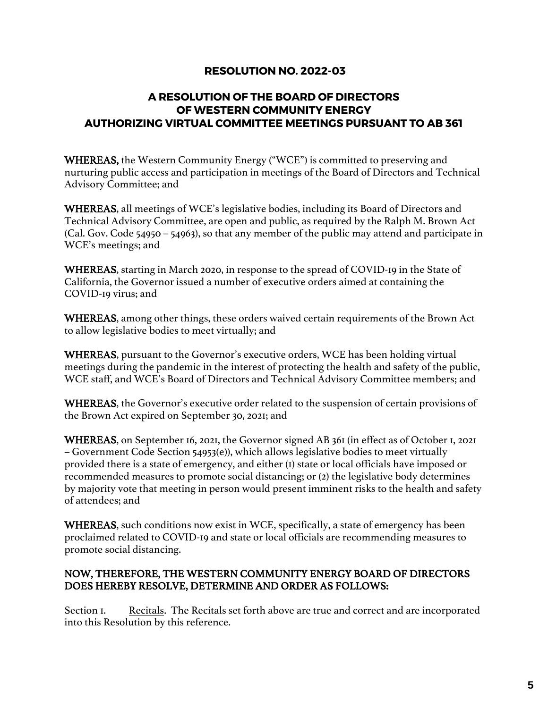## **RESOLUTION NO. 2022-03**

## **A RESOLUTION OF THE BOARD OF DIRECTORS OF WESTERN COMMUNITY ENERGY AUTHORIZING VIRTUAL COMMITTEE MEETINGS PURSUANT TO AB 361**

WHEREAS, the Western Community Energy ("WCE") is committed to preserving and nurturing public access and participation in meetings of the Board of Directors and Technical Advisory Committee; and

WHEREAS, all meetings of WCE's legislative bodies, including its Board of Directors and Technical Advisory Committee, are open and public, as required by the Ralph M. Brown Act (Cal. Gov. Code 54950 – 54963), so that any member of the public may attend and participate in WCE's meetings; and

WHEREAS, starting in March 2020, in response to the spread of COVID-19 in the State of California, the Governor issued a number of executive orders aimed at containing the COVID-19 virus; and

WHEREAS, among other things, these orders waived certain requirements of the Brown Act to allow legislative bodies to meet virtually; and

WHEREAS, pursuant to the Governor's executive orders, WCE has been holding virtual meetings during the pandemic in the interest of protecting the health and safety of the public, WCE staff, and WCE's Board of Directors and Technical Advisory Committee members; and

WHEREAS, the Governor's executive order related to the suspension of certain provisions of the Brown Act expired on September 30, 2021; and

WHEREAS, on September 16, 2021, the Governor signed AB 361 (in effect as of October 1, 2021 – Government Code Section 54953(e)), which allows legislative bodies to meet virtually provided there is a state of emergency, and either (1) state or local officials have imposed or recommended measures to promote social distancing; or (2) the legislative body determines by majority vote that meeting in person would present imminent risks to the health and safety of attendees; and

WHEREAS, such conditions now exist in WCE, specifically, a state of emergency has been proclaimed related to COVID-19 and state or local officials are recommending measures to promote social distancing.

### NOW, THEREFORE, THE WESTERN COMMUNITY ENERGY BOARD OF DIRECTORS DOES HEREBY RESOLVE, DETERMINE AND ORDER AS FOLLOWS:

Section I. Recitals. The Recitals set forth above are true and correct and are incorporated into this Resolution by this reference.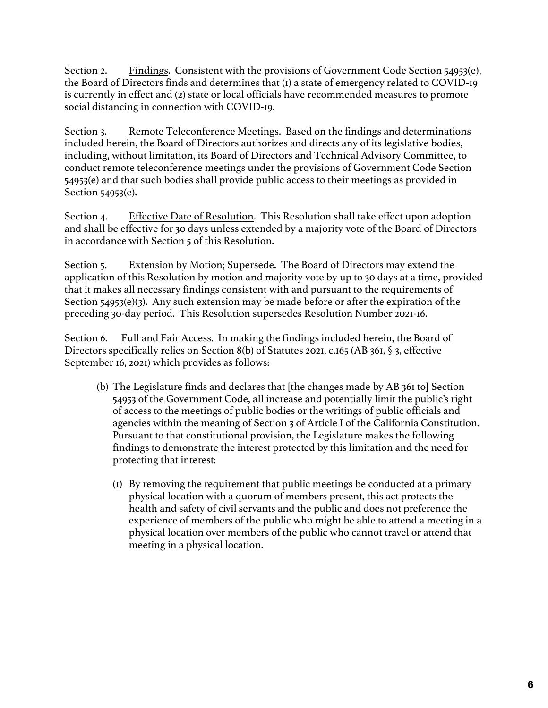Section 2. Findings. Consistent with the provisions of Government Code Section 54953(e), the Board of Directors finds and determines that (1) a state of emergency related to COVID-19 is currently in effect and (2) state or local officials have recommended measures to promote social distancing in connection with COVID-19.

Section 3. Remote Teleconference Meetings. Based on the findings and determinations included herein, the Board of Directors authorizes and directs any of its legislative bodies, including, without limitation, its Board of Directors and Technical Advisory Committee, to conduct remote teleconference meetings under the provisions of Government Code Section 54953(e) and that such bodies shall provide public access to their meetings as provided in Section 54953(e).

Section 4. Effective Date of Resolution. This Resolution shall take effect upon adoption and shall be effective for 30 days unless extended by a majority vote of the Board of Directors in accordance with Section 5 of this Resolution.

Section 5. Extension by Motion; Supersede. The Board of Directors may extend the application of this Resolution by motion and majority vote by up to 30 days at a time, provided that it makes all necessary findings consistent with and pursuant to the requirements of Section 54953(e)(3). Any such extension may be made before or after the expiration of the preceding 30-day period. This Resolution supersedes Resolution Number 2021-16.

Section 6. Full and Fair Access. In making the findings included herein, the Board of Directors specifically relies on Section 8(b) of Statutes 2021, c.165 (AB 361, § 3, effective September 16, 2021) which provides as follows:

- (b) The Legislature finds and declares that [the changes made by AB 361 to] Section 54953 of the Government Code, all increase and potentially limit the public's right of access to the meetings of public bodies or the writings of public officials and agencies within the meaning of Section 3 of Article I of the California Constitution. Pursuant to that constitutional provision, the Legislature makes the following findings to demonstrate the interest protected by this limitation and the need for protecting that interest:
	- (1) By removing the requirement that public meetings be conducted at a primary physical location with a quorum of members present, this act protects the health and safety of civil servants and the public and does not preference the experience of members of the public who might be able to attend a meeting in a physical location over members of the public who cannot travel or attend that meeting in a physical location.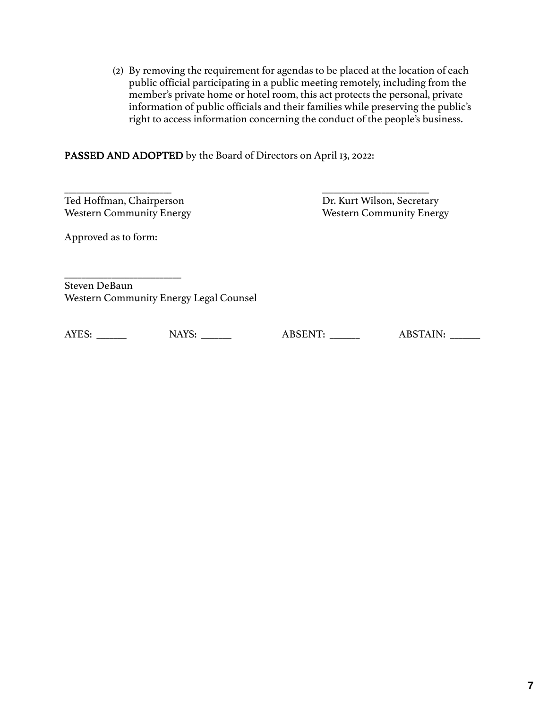(2) By removing the requirement for agendas to be placed at the location of each public official participating in a public meeting remotely, including from the member's private home or hotel room, this act protects the personal, private information of public officials and their families while preserving the public's right to access information concerning the conduct of the people's business.

### PASSED AND ADOPTED by the Board of Directors on April 13, 2022:

\_\_\_\_\_\_\_\_\_\_\_\_\_\_\_\_\_\_\_\_\_\_\_\_\_\_\_ \_\_\_\_\_\_\_\_\_\_\_\_\_\_\_\_\_\_\_\_\_\_\_\_\_\_\_ Ted Hoffman, Chairperson Dr. Kurt Wilson, Secretary

Western Community Energy Western Community Energy

Approved as to form:

\_\_\_\_\_\_\_\_\_\_\_\_\_\_\_\_\_\_\_\_\_\_\_\_\_\_\_ Steven DeBaun Western Community Energy Legal Counsel

AYES: \_\_\_\_\_\_\_ NAYS: \_\_\_\_\_\_ ABSENT: \_\_\_\_\_ ABSTAIN: \_\_\_\_\_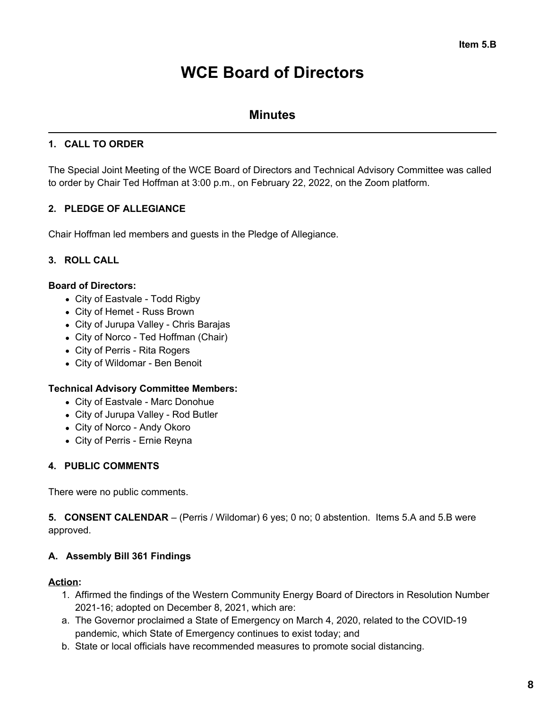## **WCE Board of Directors**

## **Minutes**

## **1. CALL TO ORDER**

The Special Joint Meeting of the WCE Board of Directors and Technical Advisory Committee was called to order by Chair Ted Hoffman at 3:00 p.m., on February 22, 2022, on the Zoom platform.

## **2. PLEDGE OF ALLEGIANCE**

Chair Hoffman led members and guests in the Pledge of Allegiance.

## **3. ROLL CALL**

### **Board of Directors:**

- City of Eastvale Todd Rigby
- City of Hemet Russ Brown
- City of Jurupa Valley Chris Barajas
- City of Norco Ted Hoffman (Chair)
- City of Perris Rita Rogers
- City of Wildomar Ben Benoit

### **Technical Advisory Committee Members:**

- City of Eastvale Marc Donohue
- City of Jurupa Valley Rod Butler
- City of Norco Andy Okoro
- City of Perris Ernie Reyna

### **4. PUBLIC COMMENTS**

There were no public comments.

**5. CONSENT CALENDAR** – (Perris / Wildomar) 6 yes; 0 no; 0 abstention. Items 5.A and 5.B were approved.

### **A. Assembly Bill 361 Findings**

### **Action:**

- 1. Affirmed the findings of the Western Community Energy Board of Directors in Resolution Number 2021-16; adopted on December 8, 2021, which are:
- a. The Governor proclaimed a State of Emergency on March 4, 2020, related to the COVID-19 pandemic, which State of Emergency continues to exist today; and
- b. State or local officials have recommended measures to promote social distancing.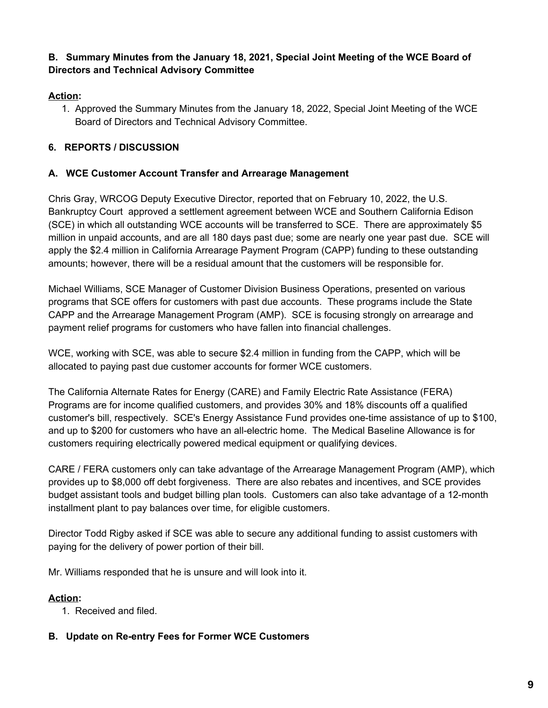## **B. Summary Minutes from the January 18, 2021, Special Joint Meeting of the WCE Board of Directors and Technical Advisory Committee**

## **Action:**

1. Approved the Summary Minutes from the January 18, 2022, Special Joint Meeting of the WCE Board of Directors and Technical Advisory Committee.

## **6. REPORTS / DISCUSSION**

### **A. WCE Customer Account Transfer and Arrearage Management**

Chris Gray, WRCOG Deputy Executive Director, reported that on February 10, 2022, the U.S. Bankruptcy Court approved a settlement agreement between WCE and Southern California Edison (SCE) in which all outstanding WCE accounts will be transferred to SCE. There are approximately \$5 million in unpaid accounts, and are all 180 days past due; some are nearly one year past due. SCE will apply the \$2.4 million in California Arrearage Payment Program (CAPP) funding to these outstanding amounts; however, there will be a residual amount that the customers will be responsible for.

Michael Williams, SCE Manager of Customer Division Business Operations, presented on various programs that SCE offers for customers with past due accounts. These programs include the State CAPP and the Arrearage Management Program (AMP). SCE is focusing strongly on arrearage and payment relief programs for customers who have fallen into financial challenges.

WCE, working with SCE, was able to secure \$2.4 million in funding from the CAPP, which will be allocated to paying past due customer accounts for former WCE customers.

The California Alternate Rates for Energy (CARE) and Family Electric Rate Assistance (FERA) Programs are for income qualified customers, and provides 30% and 18% discounts off a qualified customer's bill, respectively. SCE's Energy Assistance Fund provides one-time assistance of up to \$100, and up to \$200 for customers who have an all-electric home. The Medical Baseline Allowance is for customers requiring electrically powered medical equipment or qualifying devices.

CARE / FERA customers only can take advantage of the Arrearage Management Program (AMP), which provides up to \$8,000 off debt forgiveness. There are also rebates and incentives, and SCE provides budget assistant tools and budget billing plan tools. Customers can also take advantage of a 12-month installment plant to pay balances over time, for eligible customers.

Director Todd Rigby asked if SCE was able to secure any additional funding to assist customers with paying for the delivery of power portion of their bill.

Mr. Williams responded that he is unsure and will look into it.

### **Action:**

1. Received and filed.

## **B. Update on Re-entry Fees for Former WCE Customers**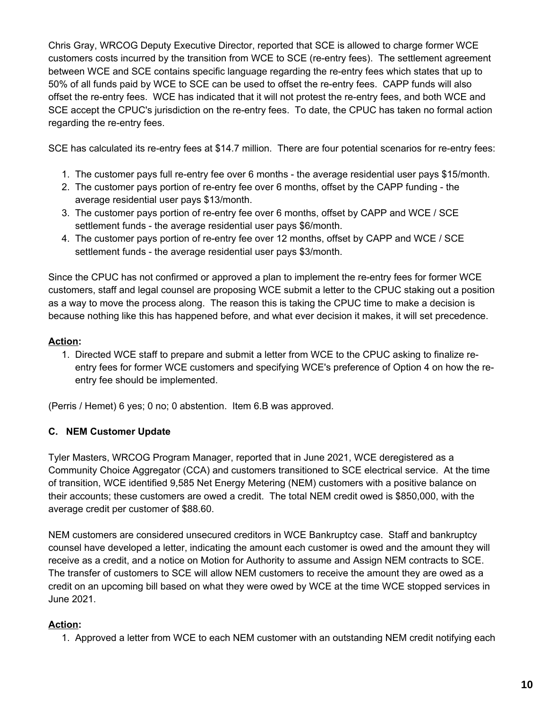Chris Gray, WRCOG Deputy Executive Director, reported that SCE is allowed to charge former WCE customers costs incurred by the transition from WCE to SCE (re-entry fees). The settlement agreement between WCE and SCE contains specific language regarding the re-entry fees which states that up to 50% of all funds paid by WCE to SCE can be used to offset the re-entry fees. CAPP funds will also offset the re-entry fees. WCE has indicated that it will not protest the re-entry fees, and both WCE and SCE accept the CPUC's jurisdiction on the re-entry fees. To date, the CPUC has taken no formal action regarding the re-entry fees.

SCE has calculated its re-entry fees at \$14.7 million. There are four potential scenarios for re-entry fees:

- 1. The customer pays full re-entry fee over 6 months the average residential user pays \$15/month.
- 2. The customer pays portion of re-entry fee over 6 months, offset by the CAPP funding the average residential user pays \$13/month.
- 3. The customer pays portion of re-entry fee over 6 months, offset by CAPP and WCE / SCE settlement funds - the average residential user pays \$6/month.
- 4. The customer pays portion of re-entry fee over 12 months, offset by CAPP and WCE / SCE settlement funds - the average residential user pays \$3/month.

Since the CPUC has not confirmed or approved a plan to implement the re-entry fees for former WCE customers, staff and legal counsel are proposing WCE submit a letter to the CPUC staking out a position as a way to move the process along. The reason this is taking the CPUC time to make a decision is because nothing like this has happened before, and what ever decision it makes, it will set precedence.

### **Action:**

1. Directed WCE staff to prepare and submit a letter from WCE to the CPUC asking to finalize reentry fees for former WCE customers and specifying WCE's preference of Option 4 on how the reentry fee should be implemented.

(Perris / Hemet) 6 yes; 0 no; 0 abstention. Item 6.B was approved.

### **C. NEM Customer Update**

Tyler Masters, WRCOG Program Manager, reported that in June 2021, WCE deregistered as a Community Choice Aggregator (CCA) and customers transitioned to SCE electrical service. At the time of transition, WCE identified 9,585 Net Energy Metering (NEM) customers with a positive balance on their accounts; these customers are owed a credit. The total NEM credit owed is \$850,000, with the average credit per customer of \$88.60.

NEM customers are considered unsecured creditors in WCE Bankruptcy case. Staff and bankruptcy counsel have developed a letter, indicating the amount each customer is owed and the amount they will receive as a credit, and a notice on Motion for Authority to assume and Assign NEM contracts to SCE. The transfer of customers to SCE will allow NEM customers to receive the amount they are owed as a credit on an upcoming bill based on what they were owed by WCE at the time WCE stopped services in June 2021.

### **Action:**

1. Approved a letter from WCE to each NEM customer with an outstanding NEM credit notifying each